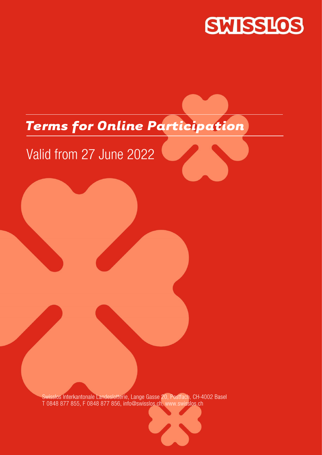

# *Terms for Online Participation*

# Valid from 27 June 2022

Swisslos Interkantonale Landeslotterie, Lange Gasse 20, Postfach, CH-4002 Basel T 0848 877 855, F 0848 877 856, info@swisslos.ch, www.swisslos.ch

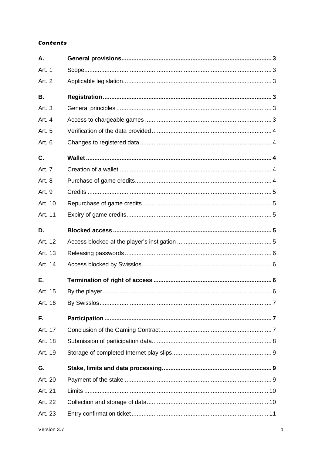## **Contents**

| A.        |  |
|-----------|--|
| Art. 1    |  |
| Art. 2    |  |
| <b>B.</b> |  |
| Art. 3    |  |
| Art. 4    |  |
| Art. 5    |  |
| Art. 6    |  |
| C.        |  |
| Art. 7    |  |
| Art. 8    |  |
| Art. 9    |  |
| Art. 10   |  |
| Art. 11   |  |
| D.        |  |
| Art. 12   |  |
| Art. 13   |  |
| Art. 14   |  |
| Е.        |  |
| Art. 15   |  |
| Art. 16   |  |
| F.        |  |
| Art. 17   |  |
| Art. 18   |  |
| Art. 19   |  |
| G.        |  |
| Art. 20   |  |
| Art. 21   |  |
| Art. 22   |  |
| Art. 23   |  |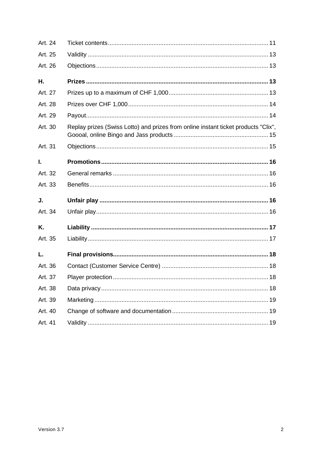| Art. 24 |                                                                                    |
|---------|------------------------------------------------------------------------------------|
| Art. 25 |                                                                                    |
| Art. 26 |                                                                                    |
| Η.      |                                                                                    |
| Art. 27 |                                                                                    |
| Art. 28 |                                                                                    |
| Art. 29 |                                                                                    |
| Art. 30 | Replay prizes (Swiss Lotto) and prizes from online instant ticket products "Clix", |
| Art. 31 |                                                                                    |
| I.      |                                                                                    |
| Art. 32 |                                                                                    |
| Art. 33 |                                                                                    |
| J.      |                                                                                    |
| Art. 34 |                                                                                    |
| Κ.      |                                                                                    |
| Art. 35 |                                                                                    |
| L.      |                                                                                    |
| Art. 36 |                                                                                    |
| Art. 37 |                                                                                    |
| Art. 38 |                                                                                    |
| Art. 39 |                                                                                    |
| Art. 40 |                                                                                    |
| Art. 41 |                                                                                    |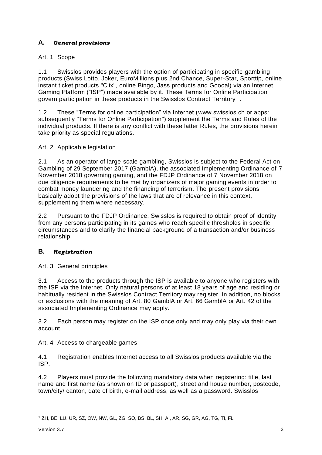# <span id="page-3-0"></span>**A.** *General provisions*

## <span id="page-3-1"></span>Art. 1 Scope

1.1 Swisslos provides players with the option of participating in specific gambling products (Swiss Lotto, Joker, EuroMillions plus 2nd Chance, Super-Star, Sporttip, online instant ticket products "Clix", online Bingo, Jass products and Goooal) via an Internet Gaming Platform ("ISP") made available by it. These Terms for Online Participation govern participation in these products in the Swisslos Contract Territory <sup>1</sup> .

1.2 These "Terms for online participation" via Internet (www.swisslos.ch or apps: subsequently "Terms for Online Participation") supplement the Terms and Rules of the individual products. If there is any conflict with these latter Rules, the provisions herein take priority as special regulations.

## <span id="page-3-2"></span>Art. 2 Applicable legislation

2.1 As an operator of large-scale gambling, Swisslos is subject to the Federal Act on Gambling of 29 September 2017 (GamblA), the associated Implementing Ordinance of 7 November 2018 governing gaming, and the FDJP Ordinance of 7 November 2018 on due diligence requirements to be met by organizers of major gaming events in order to combat money laundering and the financing of terrorism. The present provisions basically adopt the provisions of the laws that are of relevance in this context, supplementing them where necessary.

2.2 Pursuant to the FDJP Ordinance, Swisslos is required to obtain proof of identity from any persons participating in its games who reach specific thresholds in specific circumstances and to clarify the financial background of a transaction and/or business relationship.

## <span id="page-3-3"></span>**B.** *Registration*

<span id="page-3-4"></span>Art. 3 General principles

3.1 Access to the products through the ISP is available to anyone who registers with the ISP via the Internet. Only natural persons of at least 18 years of age and residing or habitually resident in the Swisslos Contract Territory may register. In addition, no blocks or exclusions with the meaning of Art. 80 GamblA or Art. 66 GamblA or Art. 42 of the associated Implementing Ordinance may apply.

3.2 Each person may register on the ISP once only and may only play via their own account.

<span id="page-3-5"></span>Art. 4 Access to chargeable games

4.1 Registration enables Internet access to all Swisslos products available via the ISP.

4.2 Players must provide the following mandatory data when registering: title, last name and first name (as shown on ID or passport), street and house number, postcode, town/city/ canton, date of birth, e-mail address, as well as a password. Swisslos

<sup>1</sup> ZH, BE, LU, UR, SZ, OW, NW, GL, ZG, SO, BS, BL, SH, AI, AR, SG, GR, AG, TG, TI, FL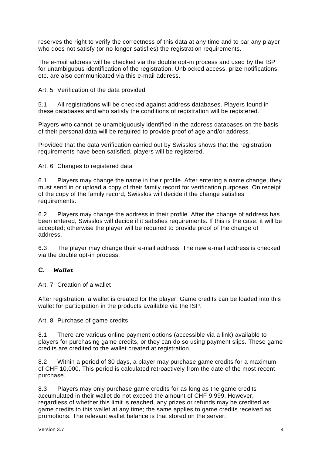reserves the right to verify the correctness of this data at any time and to bar any player who does not satisfy (or no longer satisfies) the registration requirements.

The e-mail address will be checked via the double opt-in process and used by the ISP for unambiguous identification of the registration. Unblocked access, prize notifications, etc. are also communicated via this e-mail address.

<span id="page-4-0"></span>Art. 5 Verification of the data provided

5.1 All registrations will be checked against address databases. Players found in these databases and who satisfy the conditions of registration will be registered.

Players who cannot be unambiguously identified in the address databases on the basis of their personal data will be required to provide proof of age and/or address.

Provided that the data verification carried out by Swisslos shows that the registration requirements have been satisfied, players will be registered.

<span id="page-4-1"></span>Art. 6 Changes to registered data

6.1 Players may change the name in their profile. After entering a name change, they must send in or upload a copy of their family record for verification purposes. On receipt of the copy of the family record, Swisslos will decide if the change satisfies requirements.

6.2 Players may change the address in their profile. After the change of address has been entered, Swisslos will decide if it satisfies requirements. If this is the case, it will be accepted; otherwise the player will be required to provide proof of the change of address.

6.3 The player may change their e-mail address. The new e-mail address is checked via the double opt-in process.

## <span id="page-4-2"></span>**C.** *Wallet*

<span id="page-4-3"></span>Art. 7 Creation of a wallet

After registration, a wallet is created for the player. Game credits can be loaded into this wallet for participation in the products available via the ISP.

<span id="page-4-4"></span>Art. 8 Purchase of game credits

8.1 There are various online payment options (accessible via a link) available to players for purchasing game credits, or they can do so using payment slips. These game credits are credited to the wallet created at registration.

8.2 Within a period of 30 days, a player may purchase game credits for a maximum of CHF 10,000. This period is calculated retroactively from the date of the most recent purchase.

8.3 Players may only purchase game credits for as long as the game credits accumulated in their wallet do not exceed the amount of CHF 9,999. However, regardless of whether this limit is reached, any prizes or refunds may be credited as game credits to this wallet at any time; the same applies to game credits received as promotions. The relevant wallet balance is that stored on the server.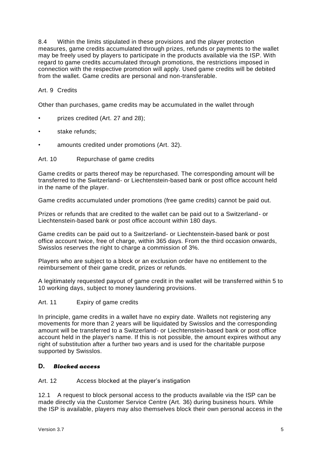8.4 Within the limits stipulated in these provisions and the player protection measures, game credits accumulated through prizes, refunds or payments to the wallet may be freely used by players to participate in the products available via the ISP. With regard to game credits accumulated through promotions, the restrictions imposed in connection with the respective promotion will apply. Used game credits will be debited from the wallet. Game credits are personal and non-transferable.

## <span id="page-5-0"></span>Art. 9 Credits

Other than purchases, game credits may be accumulated in the wallet through

- prizes credited (Art. 27 and 28);
- stake refunds:
- amounts credited under promotions (Art. 32).

#### <span id="page-5-1"></span>Art. 10 Repurchase of game credits

Game credits or parts thereof may be repurchased. The corresponding amount will be transferred to the Switzerland- or Liechtenstein-based bank or post office account held in the name of the player.

Game credits accumulated under promotions (free game credits) cannot be paid out.

Prizes or refunds that are credited to the wallet can be paid out to a Switzerland- or Liechtenstein-based bank or post office account within 180 days.

Game credits can be paid out to a Switzerland- or Liechtenstein-based bank or post office account twice, free of charge, within 365 days. From the third occasion onwards, Swisslos reserves the right to charge a commission of 3%.

Players who are subject to a block or an exclusion order have no entitlement to the reimbursement of their game credit, prizes or refunds.

A legitimately requested payout of game credit in the wallet will be transferred within 5 to 10 working days, subject to money laundering provisions.

#### <span id="page-5-2"></span>Art. 11 Expiry of game credits

In principle, game credits in a wallet have no expiry date. Wallets not registering any movements for more than 2 years will be liquidated by Swisslos and the corresponding amount will be transferred to a Switzerland- or Liechtenstein-based bank or post office account held in the player's name. If this is not possible, the amount expires without any right of substitution after a further two years and is used for the charitable purpose supported by Swisslos.

## <span id="page-5-3"></span>**D.** *Blocked access*

<span id="page-5-4"></span>Art. 12 Access blocked at the player's instigation

12.1 A request to block personal access to the products available via the ISP can be made directly via the Customer Service Centre (Art. 36) during business hours. While the ISP is available, players may also themselves block their own personal access in the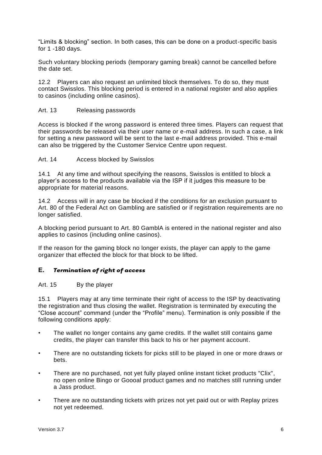"Limits & blocking" section. In both cases, this can be done on a product-specific basis for 1 -180 days.

Such voluntary blocking periods (temporary gaming break) cannot be cancelled before the date set.

12.2 Players can also request an unlimited block themselves. To do so, they must contact Swisslos. This blocking period is entered in a national register and also applies to casinos (including online casinos).

#### <span id="page-6-0"></span>Art. 13 Releasing passwords

Access is blocked if the wrong password is entered three times. Players can request that their passwords be released via their user name or e-mail address. In such a case, a link for setting a new password will be sent to the last e-mail address provided. This e-mail can also be triggered by the Customer Service Centre upon request.

#### <span id="page-6-1"></span>Art. 14 Access blocked by Swisslos

14.1 At any time and without specifying the reasons, Swisslos is entitled to block a player's access to the products available via the ISP if it judges this measure to be appropriate for material reasons.

14.2 Access will in any case be blocked if the conditions for an exclusion pursuant to Art. 80 of the Federal Act on Gambling are satisfied or if registration requirements are no longer satisfied.

A blocking period pursuant to Art. 80 GamblA is entered in the national register and also applies to casinos (including online casinos).

If the reason for the gaming block no longer exists, the player can apply to the game organizer that effected the block for that block to be lifted.

#### <span id="page-6-2"></span>**E.** *Termination of right of access*

#### <span id="page-6-3"></span>Art. 15 By the player

15.1 Players may at any time terminate their right of access to the ISP by deactivating the registration and thus closing the wallet. Registration is terminated by executing the "Close account" command (under the "Profile" menu). Termination is only possible if the following conditions apply:

- The wallet no longer contains any game credits. If the wallet still contains game credits, the player can transfer this back to his or her payment account.
- There are no outstanding tickets for picks still to be played in one or more draws or bets.
- There are no purchased, not yet fully played online instant ticket products "Clix", no open online Bingo or Goooal product games and no matches still running under a Jass product.
- There are no outstanding tickets with prizes not yet paid out or with Replay prizes not yet redeemed.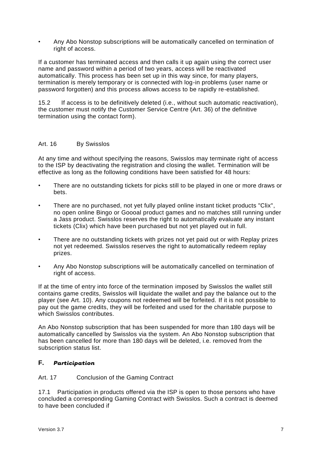• Any Abo Nonstop subscriptions will be automatically cancelled on termination of right of access.

If a customer has terminated access and then calls it up again using the correct user name and password within a period of two years, access will be reactivated automatically. This process has been set up in this way since, for many players, termination is merely temporary or is connected with log-in problems (user name or password forgotten) and this process allows access to be rapidly re-established.

15.2 If access is to be definitively deleted (i.e., without such automatic reactivation), the customer must notify the Customer Service Centre (Art. 36) of the definitive termination using the contact form).

## <span id="page-7-0"></span>Art. 16 By Swisslos

At any time and without specifying the reasons, Swisslos may terminate right of access to the ISP by deactivating the registration and closing the wallet. Termination will be effective as long as the following conditions have been satisfied for 48 hours:

- There are no outstanding tickets for picks still to be played in one or more draws or bets.
- There are no purchased, not yet fully played online instant ticket products "Clix", no open online Bingo or Goooal product games and no matches still running under a Jass product. Swisslos reserves the right to automatically evaluate any instant tickets (Clix) which have been purchased but not yet played out in full.
- There are no outstanding tickets with prizes not yet paid out or with Replay prizes not yet redeemed. Swisslos reserves the right to automatically redeem replay prizes.
- Any Abo Nonstop subscriptions will be automatically cancelled on termination of right of access.

If at the time of entry into force of the termination imposed by Swisslos the wallet still contains game credits, Swisslos will liquidate the wallet and pay the balance out to the player (see Art. 10). Any coupons not redeemed will be forfeited. If it is not possible to pay out the game credits, they will be forfeited and used for the charitable purpose to which Swisslos contributes.

An Abo Nonstop subscription that has been suspended for more than 180 days will be automatically cancelled by Swisslos via the system. An Abo Nonstop subscription that has been cancelled for more than 180 days will be deleted, i.e. removed from the subscription status list.

#### <span id="page-7-1"></span>**F.** *Participation*

#### <span id="page-7-2"></span>Art. 17 Conclusion of the Gaming Contract

17.1 Participation in products offered via the ISP is open to those persons who have concluded a corresponding Gaming Contract with Swisslos. Such a contract is deemed to have been concluded if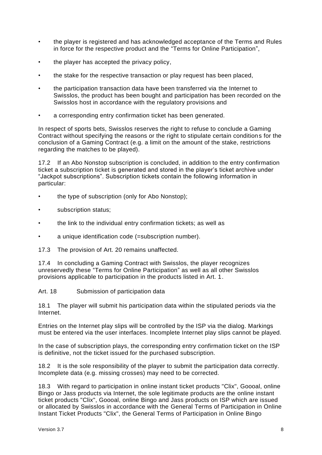- the player is registered and has acknowledged acceptance of the Terms and Rules in force for the respective product and the "Terms for Online Participation",
- the player has accepted the privacy policy,
- the stake for the respective transaction or play request has been placed,
- the participation transaction data have been transferred via the Internet to Swisslos, the product has been bought and participation has been recorded on the Swisslos host in accordance with the regulatory provisions and
- a corresponding entry confirmation ticket has been generated.

In respect of sports bets, Swisslos reserves the right to refuse to conclude a Gaming Contract without specifying the reasons or the right to stipulate certain conditions for the conclusion of a Gaming Contract (e.g. a limit on the amount of the stake, restrictions regarding the matches to be played).

17.2 If an Abo Nonstop subscription is concluded, in addition to the entry confirmation ticket a subscription ticket is generated and stored in the player's ticket archive under "Jackpot subscriptions". Subscription tickets contain the following information in particular:

- the type of subscription (only for Abo Nonstop);
- subscription status;
- the link to the individual entry confirmation tickets; as well as
- a unique identification code (=subscription number).
- 17.3 The provision of Art. 20 remains unaffected.

17.4 In concluding a Gaming Contract with Swisslos, the player recognizes unreservedly these "Terms for Online Participation" as well as all other Swisslos provisions applicable to participation in the products listed in Art. 1.

<span id="page-8-0"></span>Art. 18 Submission of participation data

18.1 The player will submit his participation data within the stipulated periods via the Internet.

Entries on the Internet play slips will be controlled by the ISP via the dialog. Markings must be entered via the user interfaces. Incomplete Internet play slips cannot be played.

In the case of subscription plays, the corresponding entry confirmation ticket on the ISP is definitive, not the ticket issued for the purchased subscription.

18.2 It is the sole responsibility of the player to submit the participation data correctly. Incomplete data (e.g. missing crosses) may need to be corrected.

18.3 With regard to participation in online instant ticket products "Clix", Goooal, online Bingo or Jass products via Internet, the sole legitimate products are the online instant ticket products "Clix", Goooal, online Bingo and Jass products on ISP which are issued or allocated by Swisslos in accordance with the General Terms of Participation in Online Instant Ticket Products "Clix", the General Terms of Participation in Online Bingo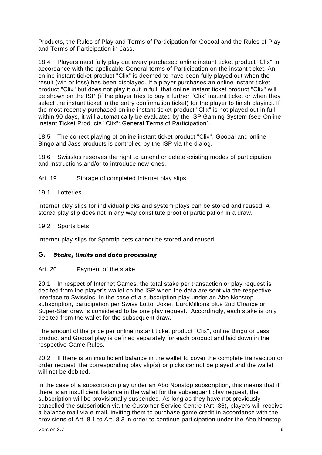Products, the Rules of Play and Terms of Participation for Goooal and the Rules of Play and Terms of Participation in Jass.

18.4 Players must fully play out every purchased online instant ticket product "Clix" in accordance with the applicable General terms of Participation on the instant ticket. An online instant ticket product "Clix" is deemed to have been fully played out when the result (win or loss) has been displayed. If a player purchases an online instant ticket product "Clix" but does not play it out in full, that online instant ticket product "Clix" will be shown on the ISP (if the player tries to buy a further "Clix" instant ticket or when they select the instant ticket in the entry confirmation ticket) for the player to finish playing. If the most recently purchased online instant ticket product "Clix" is not played out in full within 90 days, it will automatically be evaluated by the ISP Gaming System (see Online Instant Ticket Products "Clix": General Terms of Participation).

18.5 The correct playing of online instant ticket product "Clix", Goooal and online Bingo and Jass products is controlled by the ISP via the dialog.

18.6 Swisslos reserves the right to amend or delete existing modes of participation and instructions and/or to introduce new ones.

<span id="page-9-0"></span>Art. 19 Storage of completed Internet play slips

#### 19.1 Lotteries

Internet play slips for individual picks and system plays can be stored and reused. A stored play slip does not in any way constitute proof of participation in a draw.

#### 19.2 Sports bets

Internet play slips for Sporttip bets cannot be stored and reused.

#### <span id="page-9-1"></span>**G.** *Stake, limits and data processing*

#### <span id="page-9-2"></span>Art. 20 Payment of the stake

20.1 In respect of Internet Games, the total stake per transaction or play request is debited from the player's wallet on the ISP when the data are sent via the respective interface to Swisslos. In the case of a subscription play under an Abo Nonstop subscription, participation per Swiss Lotto, Joker, EuroMillions plus 2nd Chance or Super-Star draw is considered to be one play request. Accordingly, each stake is only debited from the wallet for the subsequent draw.

The amount of the price per online instant ticket product "Clix", online Bingo or Jass product and Goooal play is defined separately for each product and laid down in the respective Game Rules.

20.2 If there is an insufficient balance in the wallet to cover the complete transaction or order request, the corresponding play slip(s) or picks cannot be played and the wallet will not be debited.

In the case of a subscription play under an Abo Nonstop subscription, this means that if there is an insufficient balance in the wallet for the subsequent play request, the subscription will be provisionally suspended. As long as they have not previously cancelled the subscription via the Customer Service Centre (Art. 36), players will receive a balance mail via e-mail, inviting them to purchase game credit in accordance with the provisions of Art. 8.1 to Art. 8.3 in order to continue participation under the Abo Nonstop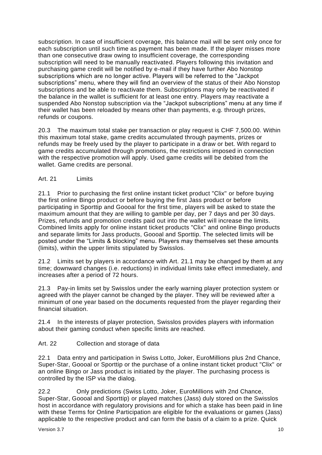subscription. In case of insufficient coverage, this balance mail will be sent only once for each subscription until such time as payment has been made. If the player misses more than one consecutive draw owing to insufficient coverage, the corresponding subscription will need to be manually reactivated. Players following this invitation and purchasing game credit will be notified by e-mail if they have further Abo Nonstop subscriptions which are no longer active. Players will be referred to the "Jackpot subscriptions" menu, where they will find an overview of the status of their Abo Nonstop subscriptions and be able to reactivate them. Subscriptions may only be reactivated if the balance in the wallet is sufficient for at least one entry. Players may reactivate a suspended Abo Nonstop subscription via the "Jackpot subscriptions" menu at any time if their wallet has been reloaded by means other than payments, e.g. through prizes, refunds or coupons.

20.3 The maximum total stake per transaction or play request is CHF 7,500.00. Within this maximum total stake, game credits accumulated through payments, prizes or refunds may be freely used by the player to participate in a draw or bet. With regard to game credits accumulated through promotions, the restrictions imposed in connection with the respective promotion will apply. Used game credits will be debited from the wallet. Game credits are personal.

<span id="page-10-0"></span>Art. 21 Limits

21.1 Prior to purchasing the first online instant ticket product "Clix" or before buying the first online Bingo product or before buying the first Jass product or before participating in Sporttip and Goooal for the first time, players will be asked to state the maximum amount that they are willing to gamble per day, per 7 days and per 30 days. Prizes, refunds and promotion credits paid out into the wallet will increase the limits. Combined limits apply for online instant ticket products "Clix" and online Bingo products and separate limits for Jass products, Goooal and Sporttip. The selected limits will be posted under the "Limits & blocking" menu. Players may themselves set these amounts (limits), within the upper limits stipulated by Swisslos.

21.2 Limits set by players in accordance with Art. 21.1 may be changed by them at any time; downward changes (i.e. reductions) in individual limits take effect immediately, and increases after a period of 72 hours.

21.3 Pay-in limits set by Swisslos under the early warning player protection system or agreed with the player cannot be changed by the player. They will be reviewed after a minimum of one year based on the documents requested from the player regarding their financial situation.

21.4 In the interests of player protection, Swisslos provides players with information about their gaming conduct when specific limits are reached.

## <span id="page-10-1"></span>Art. 22 Collection and storage of data

22.1 Data entry and participation in Swiss Lotto, Joker, EuroMillions plus 2nd Chance, Super-Star, Goooal or Sporttip or the purchase of a online instant ticket product "Clix" or an online Bingo or Jass product is initiated by the player. The purchasing process is controlled by the ISP via the dialog.

22.2 Only predictions (Swiss Lotto, Joker, EuroMillions with 2nd Chance, Super-Star, Goooal and Sporttip) or played matches (Jass) duly stored on the Swisslos host in accordance with regulatory provisions and for which a stake has been paid in line with these Terms for Online Participation are eligible for the evaluations or games (Jass) applicable to the respective product and can form the basis of a claim to a prize. Quick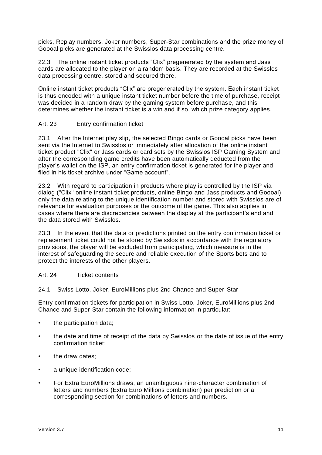picks, Replay numbers, Joker numbers, Super-Star combinations and the prize money of Goooal picks are generated at the Swisslos data processing centre.

22.3 The online instant ticket products "Clix" pregenerated by the system and Jass cards are allocated to the player on a random basis. They are recorded at the Swisslos data processing centre, stored and secured there.

Online instant ticket products "Clix" are pregenerated by the system. Each instant ticket is thus encoded with a unique instant ticket number before the time of purchase, receipt was decided in a random draw by the gaming system before purchase, and this determines whether the instant ticket is a win and if so, which prize category applies.

## <span id="page-11-0"></span>Art. 23 Entry confirmation ticket

23.1 After the Internet play slip, the selected Bingo cards or Goooal picks have been sent via the Internet to Swisslos or immediately after allocation of the online instant ticket product "Clix" or Jass cards or card sets by the Swisslos ISP Gaming System and after the corresponding game credits have been automatically deducted from the player's wallet on the ISP, an entry confirmation ticket is generated for the player and filed in his ticket archive under "Game account".

23.2 With regard to participation in products where play is controlled by the ISP via dialog ("Clix" online instant ticket products, online Bingo and Jass products and Goooal), only the data relating to the unique identification number and stored with Swisslos are of relevance for evaluation purposes or the outcome of the game. This also applies in cases where there are discrepancies between the display at the participant's end and the data stored with Swisslos.

23.3 In the event that the data or predictions printed on the entry confirmation ticket or replacement ticket could not be stored by Swisslos in accordance with the regulatory provisions, the player will be excluded from participating, which measure is in the interest of safeguarding the secure and reliable execution of the Sports bets and to protect the interests of the other players.

#### <span id="page-11-1"></span>Art. 24 Ticket contents

24.1 Swiss Lotto, Joker, EuroMillions plus 2nd Chance and Super-Star

Entry confirmation tickets for participation in Swiss Lotto, Joker, EuroMillions plus 2nd Chance and Super-Star contain the following information in particular:

- the participation data:
- the date and time of receipt of the data by Swisslos or the date of issue of the entry confirmation ticket;
- the draw dates:
- a unique identification code:
- For Extra EuroMillions draws, an unambiguous nine-character combination of letters and numbers (Extra Euro Millions combination) per prediction or a corresponding section for combinations of letters and numbers.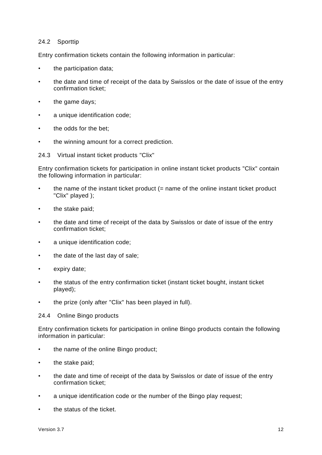#### 24.2 Sporttip

Entry confirmation tickets contain the following information in particular:

- the participation data;
- the date and time of receipt of the data by Swisslos or the date of issue of the entry confirmation ticket;
- the game days;
- a unique identification code;
- the odds for the bet:
- the winning amount for a correct prediction.

24.3 Virtual instant ticket products "Clix"

Entry confirmation tickets for participation in online instant ticket products "Clix" contain the following information in particular:

- the name of the instant ticket product  $(=$  name of the online instant ticket product "Clix" played );
- the stake paid;
- the date and time of receipt of the data by Swisslos or date of issue of the entry confirmation ticket;
- a unique identification code;
- the date of the last day of sale;
- expiry date;
- the status of the entry confirmation ticket (instant ticket bought, instant ticket played);
- the prize (only after "Clix" has been played in full).

#### 24.4 Online Bingo products

Entry confirmation tickets for participation in online Bingo products contain the following information in particular:

- the name of the online Bingo product;
- the stake paid;
- the date and time of receipt of the data by Swisslos or date of issue of the entry confirmation ticket;
- a unique identification code or the number of the Bingo play request;
- the status of the ticket.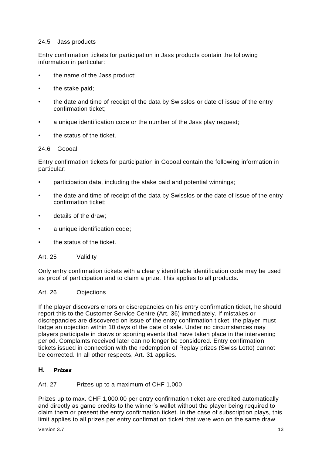#### 24.5 Jass products

Entry confirmation tickets for participation in Jass products contain the following information in particular:

- the name of the Jass product;
- the stake paid;
- the date and time of receipt of the data by Swisslos or date of issue of the entry confirmation ticket;
- a unique identification code or the number of the Jass play request:
- the status of the ticket.

#### 24.6 Goooal

Entry confirmation tickets for participation in Goooal contain the following information in particular:

- participation data, including the stake paid and potential winnings;
- the date and time of receipt of the data by Swisslos or the date of issue of the entry confirmation ticket;
- details of the draw;
- a unique identification code:
- the status of the ticket.

<span id="page-13-0"></span>Art. 25 Validity

Only entry confirmation tickets with a clearly identifiable identification code may be used as proof of participation and to claim a prize. This applies to all products.

#### <span id="page-13-1"></span>Art. 26 Objections

If the player discovers errors or discrepancies on his entry confirmation ticket, he should report this to the Customer Service Centre (Art. 36) immediately. If mistakes or discrepancies are discovered on issue of the entry confirmation ticket, the player must lodge an objection within 10 days of the date of sale. Under no circumstances may players participate in draws or sporting events that have taken place in the intervening period. Complaints received later can no longer be considered. Entry confirmation tickets issued in connection with the redemption of Replay prizes (Swiss Lotto) cannot be corrected. In all other respects, Art. 31 applies.

## <span id="page-13-2"></span>**H.** *Prizes*

#### <span id="page-13-3"></span>Art. 27 Prizes up to a maximum of CHF 1,000

Prizes up to max. CHF 1,000.00 per entry confirmation ticket are credited automatically and directly as game credits to the winner's wallet without the player being required to claim them or present the entry confirmation ticket. In the case of subscription plays, this limit applies to all prizes per entry confirmation ticket that were won on the same draw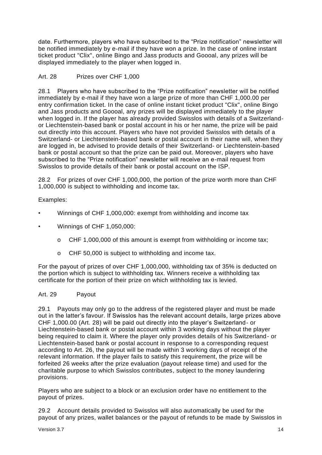date. Furthermore, players who have subscribed to the "Prize notification" newsletter will be notified immediately by e-mail if they have won a prize. In the case of online instant ticket product "Clix", online Bingo and Jass products and Goooal, any prizes will be displayed immediately to the player when logged in.

## <span id="page-14-0"></span>Art. 28 Prizes over CHF 1,000

28.1 Players who have subscribed to the "Prize notification" newsletter will be notified immediately by e-mail if they have won a large prize of more than CHF 1,000.00 per entry confirmation ticket. In the case of online instant ticket product "Clix", online Bingo and Jass products and Goooal, any prizes will be displayed immediately to the player when logged in. If the player has already provided Swisslos with details of a Switzerlandor Liechtenstein-based bank or postal account in his or her name, the prize will be paid out directly into this account. Players who have not provided Swisslos with details of a Switzerland- or Liechtenstein-based bank or postal account in their name will, when they are logged in, be advised to provide details of their Switzerland- or Liechtenstein-based bank or postal account so that the prize can be paid out. Moreover, players who have subscribed to the "Prize notification" newsletter will receive an e-mail request from Swisslos to provide details of their bank or postal account on the ISP.

28.2 For prizes of over CHF 1,000,000, the portion of the prize worth more than CHF 1,000,000 is subject to withholding and income tax.

## Examples:

- Winnings of CHF 1,000,000: exempt from withholding and income tax
- Winnings of CHF 1,050,000:
	- o CHF 1,000,000 of this amount is exempt from withholding or income tax;
	- o CHF 50,000 is subject to withholding and income tax.

For the payout of prizes of over CHF 1,000,000, withholding tax of 35% is deducted on the portion which is subject to withholding tax. Winners receive a withholding tax certificate for the portion of their prize on which withholding tax is levied.

#### <span id="page-14-1"></span>Art. 29 Payout

29.1 Payouts may only go to the address of the registered player and must be made out in the latter's favour. If Swisslos has the relevant account details, large prizes above CHF 1,000.00 (Art. 28) will be paid out directly into the player's Switzerland- or Liechtenstein-based bank or postal account within 3 working days without the player being required to claim it. Where the player only provides details of his Switzerland- or Liechtenstein-based bank or postal account in response to a corresponding request according to Art. 26, the payout will be made within 3 working days of receipt of the relevant information. If the player fails to satisfy this requirement, the prize will be forfeited 26 weeks after the prize evaluation (payout release time) and used for the charitable purpose to which Swisslos contributes, subject to the money laundering provisions.

Players who are subject to a block or an exclusion order have no entitlement to the payout of prizes.

29.2 Account details provided to Swisslos will also automatically be used for the payout of any prizes, wallet balances or the payout of refunds to be made by Swisslos in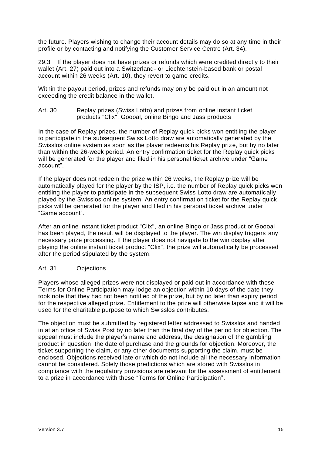the future. Players wishing to change their account details may do so at any time in their profile or by contacting and notifying the Customer Service Centre (Art. 34).

29.3 If the player does not have prizes or refunds which were credited directly to their wallet (Art. 27) paid out into a Switzerland- or Liechtenstein-based bank or postal account within 26 weeks (Art. 10), they revert to game credits.

Within the payout period, prizes and refunds may only be paid out in an amount not exceeding the credit balance in the wallet.

<span id="page-15-0"></span>Art. 30 Replay prizes (Swiss Lotto) and prizes from online instant ticket products "Clix", Goooal, online Bingo and Jass products

In the case of Replay prizes, the number of Replay quick picks won entitling the player to participate in the subsequent Swiss Lotto draw are automatically generated by the Swisslos online system as soon as the player redeems his Replay prize, but by no later than within the 26-week period. An entry confirmation ticket for the Replay quick picks will be generated for the player and filed in his personal ticket archive under "Game account".

If the player does not redeem the prize within 26 weeks, the Replay prize will be automatically played for the player by the ISP, i.e. the number of Replay quick picks won entitling the player to participate in the subsequent Swiss Lotto draw are automatically played by the Swisslos online system. An entry confirmation ticket for the Replay quick picks will be generated for the player and filed in his personal ticket archive under "Game account".

After an online instant ticket product "Clix", an online Bingo or Jass product or Goooal has been played, the result will be displayed to the player. The win display triggers any necessary prize processing. If the player does not navigate to the win display after playing the online instant ticket product "Clix", the prize will automatically be processed after the period stipulated by the system.

#### <span id="page-15-1"></span>Art. 31 Objections

Players whose alleged prizes were not displayed or paid out in accordance with these Terms for Online Participation may lodge an objection within 10 days of the date they took note that they had not been notified of the prize, but by no later than expiry period for the respective alleged prize. Entitlement to the prize will otherwise lapse and it will be used for the charitable purpose to which Swisslos contributes.

The objection must be submitted by registered letter addressed to Swisslos and handed in at an office of Swiss Post by no later than the final day of the period for objection. The appeal must include the player's name and address, the designation of the gambling product in question, the date of purchase and the grounds for objection. Moreover, the ticket supporting the claim, or any other documents supporting the claim, must be enclosed. Objections received late or which do not include all the necessary information cannot be considered. Solely those predictions which are stored with Swisslos in compliance with the regulatory provisions are relevant for the assessment of entitlement to a prize in accordance with these "Terms for Online Participation".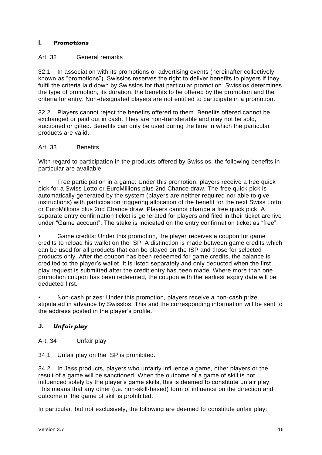## <span id="page-16-0"></span>**I.** *Promotions*

## <span id="page-16-1"></span>Art. 32 General remarks

32.1 In association with its promotions or advertising events (hereinafter collectively known as "promotions"), Swisslos reserves the right to deliver benefits to players if they fulfil the criteria laid down by Swisslos for that particular promotion. Swisslos determines the type of promotion, its duration, the benefits to be offered by the promotion and the criteria for entry. Non-designated players are not entitled to participate in a promotion.

32.2 Players cannot reject the benefits offered to them. Benefits offered cannot be exchanged or paid out in cash. They are non-transferable and may not be sold, auctioned or gifted. Benefits can only be used during the time in which the particular products are valid.

#### <span id="page-16-2"></span>Art. 33 Benefits

With regard to participation in the products offered by Swisslos, the following benefits in particular are available:

• Free participation in a game: Under this promotion, players receive a free quick pick for a Swiss Lotto or EuroMillions plus 2nd Chance draw. The free quick pick is automatically generated by the system (players are neither required nor able to give instructions) with participation triggering allocation of the benefit for the next Swiss Lotto or EuroMillions plus 2nd Chance draw. Players cannot change a free quick pick. A separate entry confirmation ticket is generated for players and filed in their ticket archive under "Game account". The stake is indicated on the entry confirmation ticket as "free".

• Game credits: Under this promotion, the player receives a coupon for game credits to reload his wallet on the ISP. A distinction is made between game credits which can be used for all products that can be played on the ISP and those for selected products only. After the coupon has been redeemed for game credits, the balance is credited to the player's wallet. It is listed separately and only deducted when the first play request is submitted after the credit entry has been made. Where more than one promotion coupon has been redeemed, the coupon with the earliest expiry date will be deducted first.

• Non-cash prizes: Under this promotion, players receive a non-cash prize stipulated in advance by Swisslos. This and the corresponding information will be sent to the address posted in the player's profile.

## <span id="page-16-3"></span>**J.** *Unfair play*

<span id="page-16-4"></span>Art. 34 Unfair play

34.1 Unfair play on the ISP is prohibited.

34.2 In Jass products, players who unfairly influence a game, other players or the result of a game will be sanctioned. When the outcome of a game of skill is not influenced solely by the player's game skills, this is deemed to constitute unfair play. This means that any other (i.e. non-skill-based) form of influence on the direction and outcome of the game of skill is prohibited.

In particular, but not exclusively, the following are deemed to constitute unfair play: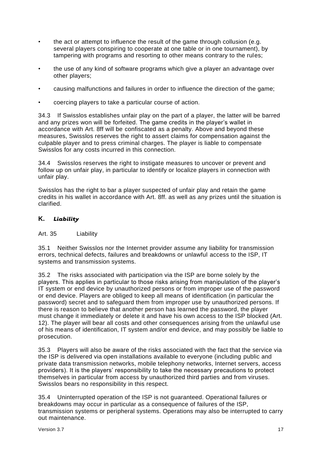- the act or attempt to influence the result of the game through collusion (e.g. several players conspiring to cooperate at one table or in one tournament), by tampering with programs and resorting to other means contrary to the rules;
- the use of any kind of software programs which give a player an advantage over other players;
- causing malfunctions and failures in order to influence the direction of the game;
- coercing players to take a particular course of action.

34.3 If Swisslos establishes unfair play on the part of a player, the latter will be barred and any prizes won will be forfeited. The game credits in the player's wallet in accordance with Art. 8ff will be confiscated as a penalty. Above and beyond these measures, Swisslos reserves the right to assert claims for compensation against the culpable player and to press criminal charges. The player is liable to compensate Swisslos for any costs incurred in this connection.

34.4 Swisslos reserves the right to instigate measures to uncover or prevent and follow up on unfair play, in particular to identify or localize players in connection with unfair play.

Swisslos has the right to bar a player suspected of unfair play and retain the game credits in his wallet in accordance with Art. 8ff. as well as any prizes until the situation is clarified.

## <span id="page-17-0"></span>**K.** *Liability*

#### <span id="page-17-1"></span>Art. 35 Liability

35.1 Neither Swisslos nor the Internet provider assume any liability for transmission errors, technical defects, failures and breakdowns or unlawful access to the ISP, IT systems and transmission systems.

35.2 The risks associated with participation via the ISP are borne solely by the players. This applies in particular to those risks arising from manipulation of the player's IT system or end device by unauthorized persons or from improper use of the password or end device. Players are obliged to keep all means of identification (in particular the password) secret and to safeguard them from improper use by unauthorized persons. If there is reason to believe that another person has learned the password, the player must change it immediately or delete it and have his own access to the ISP blocked (Art. 12). The player will bear all costs and other consequences arising from the unlawful use of his means of identification, IT system and/or end device, and may possibly be liable to prosecution.

35.3 Players will also be aware of the risks associated with the fact that the service via the ISP is delivered via open installations available to everyone (including public and private data transmission networks, mobile telephony networks, Internet servers, access providers). It is the players' responsibility to take the necessary precautions to protect themselves in particular from access by unauthorized third parties and from viruses. Swisslos bears no responsibility in this respect.

35.4 Uninterrupted operation of the ISP is not guaranteed. Operational failures or breakdowns may occur in particular as a consequence of failures of the ISP, transmission systems or peripheral systems. Operations may also be interrupted to carry out maintenance.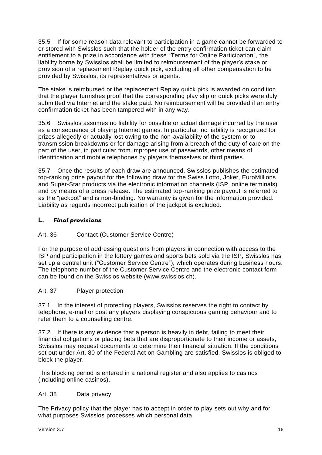35.5 If for some reason data relevant to participation in a game cannot be forwarded to or stored with Swisslos such that the holder of the entry confirmation ticket can claim entitlement to a prize in accordance with these "Terms for Online Participation", the liability borne by Swisslos shall be limited to reimbursement of the player's stake or provision of a replacement Replay quick pick, excluding all other compensation to be provided by Swisslos, its representatives or agents.

The stake is reimbursed or the replacement Replay quick pick is awarded on condition that the player furnishes proof that the corresponding play slip or quick picks were duly submitted via Internet and the stake paid. No reimbursement will be provided if an entry confirmation ticket has been tampered with in any way.

35.6 Swisslos assumes no liability for possible or actual damage incurred by the user as a consequence of playing Internet games. In particular, no liability is recognized for prizes allegedly or actually lost owing to the non-availability of the system or to transmission breakdowns or for damage arising from a breach of the duty of care on the part of the user, in particular from improper use of passwords, other means of identification and mobile telephones by players themselves or third parties.

35.7 Once the results of each draw are announced, Swisslos publishes the estimated top-ranking prize payout for the following draw for the Swiss Lotto, Joker, EuroMillions and Super-Star products via the electronic information channels (ISP, online terminals) and by means of a press release. The estimated top-ranking prize payout is referred to as the "jackpot" and is non-binding. No warranty is given for the information provided. Liability as regards incorrect publication of the jackpot is excluded.

## <span id="page-18-0"></span>**L.** *Final provisions*

## <span id="page-18-1"></span>Art. 36 Contact (Customer Service Centre)

For the purpose of addressing questions from players in connection with access to the ISP and participation in the lottery games and sports bets sold via the ISP, Swisslos has set up a central unit ("Customer Service Centre"), which operates during business hours. The telephone number of the Customer Service Centre and the electronic contact form can be found on the Swisslos website (www.swisslos.ch).

## <span id="page-18-2"></span>Art. 37 Player protection

37.1 In the interest of protecting players, Swisslos reserves the right to contact by telephone, e-mail or post any players displaying conspicuous gaming behaviour and to refer them to a counselling centre.

37.2 If there is any evidence that a person is heavily in debt, failing to meet their financial obligations or placing bets that are disproportionate to their income or assets, Swisslos may request documents to determine their financial situation. If the conditions set out under Art. 80 of the Federal Act on Gambling are satisfied, Swisslos is obliged to block the player.

This blocking period is entered in a national register and also applies to casinos (including online casinos).

## <span id="page-18-3"></span>Art. 38 Data privacy

The Privacy policy that the player has to accept in order to play sets out why and for what purposes Swisslos processes which personal data.